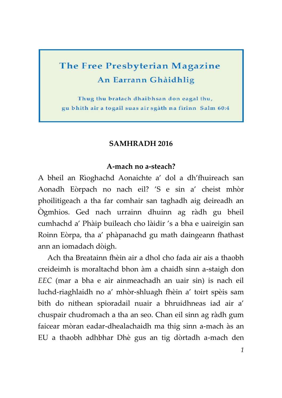# **The Free Presbyterian Magazine** An Earrann Ghàidhlig

Thug thu bratach dhaibhsan don eagal thu, gu bhith air a togail suas air sgàth na fìrinn Salm 60:4

### **SAMHRADH 2016**

#### **A-mach no a-steach?**

A bheil an Rìoghachd Aonaichte a' dol a dh'fhuireach san Aonadh Eòrpach no nach eil? 'S e sin a' cheist mhòr phoilitigeach a tha far comhair san taghadh aig deireadh an Ògmhios. Ged nach urrainn dhuinn ag ràdh gu bheil cumhachd a' Phàip buileach cho làidir 's a bha e uaireigin san Roinn Eòrpa, tha a' phàpanachd gu math daingeann fhathast ann an iomadach dòigh.

Ach tha Breatainn fhèin air a dhol cho fada air ais a thaobh creideimh is moraltachd bhon àm a chaidh sinn a-staigh don *EEC* (mar a bha e air ainmeachadh an uair sin) is nach eil luchd-riaghlaidh no a' mhòr-shluagh fhèin a' toirt spèis sam bith do nithean spioradail nuair a bhruidhneas iad air a' chuspair chudromach a tha an seo. Chan eil sinn ag ràdh gum faicear mòran eadar-dhealachaidh ma thig sinn a-mach às an EU a thaobh adhbhar Dhè gus an tig dòrtadh a-mach den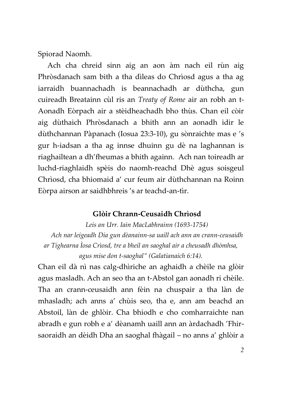Spiorad Naomh.

Ach cha chreid sinn aig an aon àm nach eil rùn aig Phròsdanach sam bith a tha dìleas do Chrìosd agus a tha ag iarraidh buannachadh is beannachadh ar dùthcha, gun cuireadh Breatainn cùl ris an *Treaty of Rome* air an robh an t-Aonadh Eòrpach air a stèidheachadh bho thùs. Chan eil còir aig dùthaich Phròsdanach a bhith ann an aonadh idir le dùthchannan Pàpanach (Iosua 23:3-10), gu sònraichte mas e 's gur h-iadsan a tha ag innse dhuinn gu dè na laghannan is riaghailtean a dh'fheumas a bhith againn. Ach nan toireadh ar luchd-riaghlaidh spèis do naomh-reachd Dhè agus soisgeul Chrìosd, cha bhiomaid a' cur feum air dùthchannan na Roinn Eòrpa airson ar saidhbhreis 's ar teachd-an-tìr.

#### **Glòir Chrann-Ceusaidh Chrìosd**

*Leis an Urr. Iain MacLabhrainn (1693-1754)* 

*Ach nar leigeadh Dia gun dèanainn-sa uaill ach ann an crann-ceusaidh ar Tighearna Ìosa Crìosd, tre a bheil an saoghal air a cheusadh dhòmhsa,* 

*agus mise don t-saoghal" (Galatianaich 6:14).*

Chan eil dà nì nas calg-dhìriche an aghaidh a chèile na glòir agus masladh. Ach an seo tha an t-Abstol gan aonadh ri chèile. Tha an crann-ceusaidh ann fèin na chuspair a tha làn de mhasladh; ach anns a' chùis seo, tha e, ann am beachd an Abstoil, làn de ghlòir. Cha bhiodh e cho comharraichte nan abradh e gun robh e a' dèanamh uaill ann an àrdachadh 'Fhirsaoraidh an dèidh Dha an saoghal fhàgail – no anns a' ghlòir a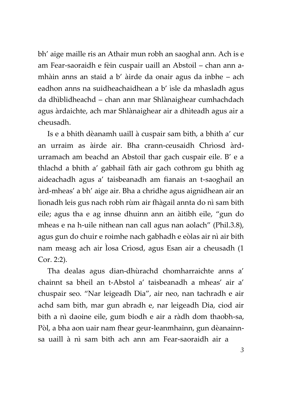bh' aige maille ris an Athair mun robh an saoghal ann. Ach is e am Fear-saoraidh e fèin cuspair uaill an Abstoil – chan ann amhàin anns an staid a b' àirde da onair agus da inbhe – ach eadhon anns na suidheachaidhean a b' ìsle da mhasladh agus da dhìblidheachd – chan ann mar Shlànaighear cumhachdach agus àrdaichte, ach mar Shlànaighear air a dhìteadh agus air a cheusadh.

Is e a bhith dèanamh uaill à cuspair sam bith, a bhith a' cur an urraim as àirde air. Bha crann-ceusaidh Chrìosd àrdurramach am beachd an Abstoil thar gach cuspair eile. B' e a thlachd a bhith a' gabhail fàth air gach cothrom gu bhith ag aideachadh agus a' taisbeanadh am fianais an t-saoghail an àrd-mheas' a bh' aige air. Bha a chridhe agus aignidhean air an lìonadh leis gus nach robh rùm air fhàgail annta do nì sam bith eile; agus tha e ag innse dhuinn ann an àitibh eile, "gun do mheas e na h-uile nithean nan call agus nan aolach" (Phil.3.8), agus gun do chuir e roimhe nach gabhadh e eòlas air nì air bith nam measg ach air Ìosa Crìosd, agus Esan air a cheusadh (1 Cor. 2:2).

Tha dealas agus dian-dhùrachd chomharraichte anns a' chainnt sa bheil an t-Abstol a' taisbeanadh a mheas' air a' chuspair seo. "Nar leigeadh Dia", air neo, nan tachradh e air achd sam bith, mar gun abradh e, nar leigeadh Dia, ciod air bith a nì daoine eile, gum biodh e air a ràdh dom thaobh-sa, Pòl, a bha aon uair nam fhear geur-leanmhainn, gun dèanainnsa uaill à nì sam bith ach ann am Fear-saoraidh air a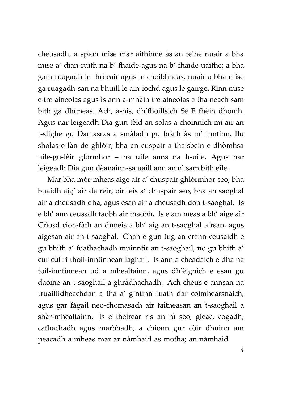cheusadh, a spìon mise mar aithinne às an teine nuair a bha mise a' dian-ruith na b' fhaide agus na b' fhaide uaithe; a bha gam ruagadh le thròcair agus le choibhneas, nuair a bha mise ga ruagadh-san na bhuill le ain-iochd agus le gairge. Rinn mise e tre aineolas agus is ann a-mhàin tre aineolas a tha neach sam bith ga dhìmeas. Ach, a-nis, dh'fhoillsich Se E fhèin dhomh. Agus nar leigeadh Dia gun tèid an solas a choinnich mi air an t-slighe gu Damascas a smàladh gu bràth às m' inntinn. Bu sholas e làn de ghlòir; bha an cuspair a thaisbein e dhòmhsa uile-gu-lèir glòrmhor – na uile anns na h-uile. Agus nar leigeadh Dia gun dèanainn-sa uaill ann an nì sam bith eile.

Mar bha mòr-mheas aige air a' chuspair ghlòrmhor seo, bha buaidh aig' air da rèir, oir leis a' chuspair seo, bha an saoghal air a cheusadh dha, agus esan air a cheusadh don t-saoghal. Is e bh' ann ceusadh taobh air thaobh. Is e am meas a bh' aige air Crìosd cion-fàth an dìmeis a bh' aig an t-saoghal airsan, agus aigesan air an t-saoghal. Chan e gun tug an crann-ceusaidh e gu bhith a' fuathachadh muinntir an t-saoghail, no gu bhith a' cur cùl ri thoil-inntinnean laghail. Is ann a cheadaich e dha na toil-inntinnean ud a mhealtainn, agus dh'èignich e esan gu daoine an t-saoghail a ghràdhachadh. Ach cheus e annsan na truaillidheachdan a tha a' gintinn fuath dar coimhearsnaich, agus gar fàgail neo-chomasach air taitneasan an t-saoghail a shàr-mhealtainn. Is e theirear ris an nì seo, gleac, cogadh, cathachadh agus marbhadh, a chionn gur còir dhuinn am peacadh a mheas mar ar nàmhaid as motha; an nàmhaid

*4*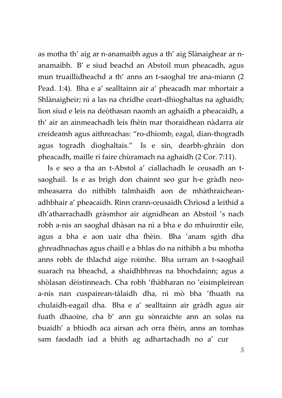as motha th' aig ar n-anamaibh agus a th' aig Slànaighear ar nanamaibh. B' e siud beachd an Abstoil mun pheacadh, agus mun truaillidheachd a th' anns an t-saoghal tre ana-miann (2 Pead. 1:4). Bha e a' sealltainn air a' pheacadh mar mhortair a Shlànaigheir; nì a las na chridhe ceart-dhìoghaltas na aghaidh; lìon siud e leis na deòthasan naomh an aghaidh a pheacaidh, a th' air an ainmeachadh leis fhèin mar thoraidhean nàdarra air creideamh agus aithreachas: "ro-dhiomb, eagal, dian-thogradh agus togradh dìoghaltais." Is e sin, dearbh-ghràin don pheacadh, maille ri faire chùramach na aghaidh (2 Cor. 7:11).

Is e seo a tha an t-Abstol a' ciallachadh le ceusadh an tsaoghail. Is e as brìgh don chainnt seo gur h-e gràdh neomheasarra do nithibh talmhaidh aon de mhàthraicheanadhbhair a' pheacaidh. Rinn crann-ceusaidh Chrìosd a leithid a dh'atharrachadh gràsmhor air aignidhean an Abstoil 's nach robh a-nis an saoghal dhàsan na nì a bha e do mhuinntir eile, agus a bha e aon uair dha fhèin. Bha 'anam sgìth dha ghreadhnachas agus chaill e a bhlas do na nithibh a bu mhotha anns robh de thlachd aige roimhe. Bha urram an t-saoghail suarach na bheachd, a shaidhbhreas na bhochdainn; agus a shòlasan dèistinneach. Cha robh 'fhàbharan no 'eisimpleirean a-nis nan cuspairean-tàlaidh dha, nì mò bha 'fhuath na chulaidh-eagail dha. Bha e a' sealltainn air gràdh agus air fuath dhaoine, cha b' ann gu sònraichte ann an solas na buaidh' a bhiodh aca airsan ach orra fhèin, anns an tomhas sam faodadh iad a bhith ag adhartachadh no a' cur

*5*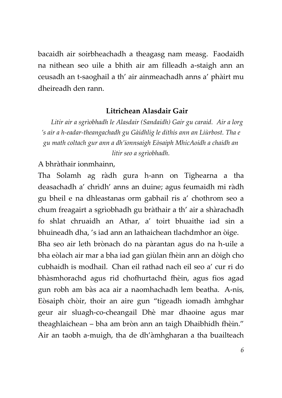bacaidh air soirbheachadh a theagasg nam measg. Faodaidh na nithean seo uile a bhith air am filleadh a-staigh ann an ceusadh an t-saoghail a th' air ainmeachadh anns a' phàirt mu dheireadh den rann.

## **Litrichean Alasdair Gair**

*Litir air a sgrìobhadh le Alasdair (Sandaidh) Gair gu caraid. Air a lorg 's air a h-eadar-theangachadh gu Gàidhlig le dithis ann an Liùrbost. Tha e gu math coltach gur ann a dh'ionnsaigh Eòsaiph MhicAoidh a chaidh an litir seo a sgrìobhadh.*

A bhràthair ionmhainn,

Tha Solamh ag ràdh gura h-ann on Tighearna a tha deasachadh a' chrìdh' anns an duine; agus feumaidh mi ràdh gu bheil e na dhleastanas orm gabhail ris a' chothrom seo a chum freagairt a sgrìobhadh gu bràthair a th' air a shàrachadh fo shlat chruaidh an Athar, a' toirt bhuaithe iad sin a bhuineadh dha, 's iad ann an lathaichean tlachdmhor an òige. Bha seo air leth brònach do na pàrantan agus do na h-uile a bha eòlach air mar a bha iad gan giùlan fhèin ann an dòigh cho cubhaidh is modhail. Chan eil rathad nach eil seo a' cur ri do bhàsmhorachd agus rid chofhurtachd fhèin, agus fios agad gun robh am bàs aca air a naomhachadh lem beatha. A-nis, Eòsaiph chòir, thoir an aire gun "tigeadh iomadh àmhghar geur air sluagh-co-cheangail Dhè mar dhaoine agus mar theaghlaichean – bha am bròn ann an taigh Dhaibhidh fhèin." Air an taobh a-muigh, tha de dh'àmhgharan a tha buailteach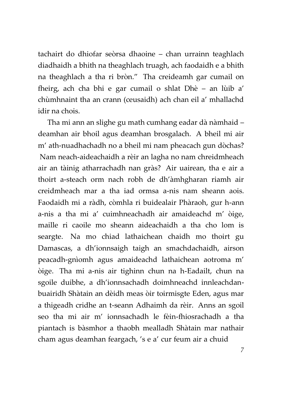tachairt do dhiofar seòrsa dhaoine – chan urrainn teaghlach diadhaidh a bhith na theaghlach truagh, ach faodaidh e a bhith na theaghlach a tha ri bròn." Tha creideamh gar cumail on fheirg, ach cha bhi e gar cumail o shlat Dhè – an lùib a' chùmhnaint tha an crann (ceusaidh) ach chan eil a' mhallachd idir na chois.

Tha mi ann an slighe gu math cumhang eadar dà nàmhaid – deamhan air bhoil agus deamhan brosgalach. A bheil mi air m' ath-nuadhachadh no a bheil mi nam pheacach gun dòchas? Nam neach-aideachaidh a rèir an lagha no nam chreidmheach air an tàinig atharrachadh nan gràs? Air uairean, tha e air a thoirt a-steach orm nach robh de dh'àmhgharan riamh air creidmheach mar a tha iad ormsa a-nis nam sheann aois. Faodaidh mi a ràdh, còmhla ri buidealair Phàraoh, gur h-ann a-nis a tha mi a' cuimhneachadh air amaideachd m' òige, maille ri caoile mo sheann aideachaidh a tha cho lom is seargte. Na mo chiad lathaichean chaidh mo thoirt gu Damascas, a dh'ionnsaigh taigh an smachdachaidh, airson peacadh-gnìomh agus amaideachd lathaichean aotroma m' òige. Tha mi a-nis air tighinn chun na h-Eadailt, chun na sgoile duibhe, a dh'ionnsachadh doimhneachd innleachdanbuairidh Shàtain an dèidh meas òir toirmisgte Eden, agus mar a thigeadh cridhe an t-seann Adhaimh da rèir. Anns an sgoil seo tha mi air m' ionnsachadh le fèin-fhiosrachadh a tha piantach is bàsmhor a thaobh mealladh Shàtain mar nathair cham agus deamhan feargach, 's e a' cur feum air a chuid